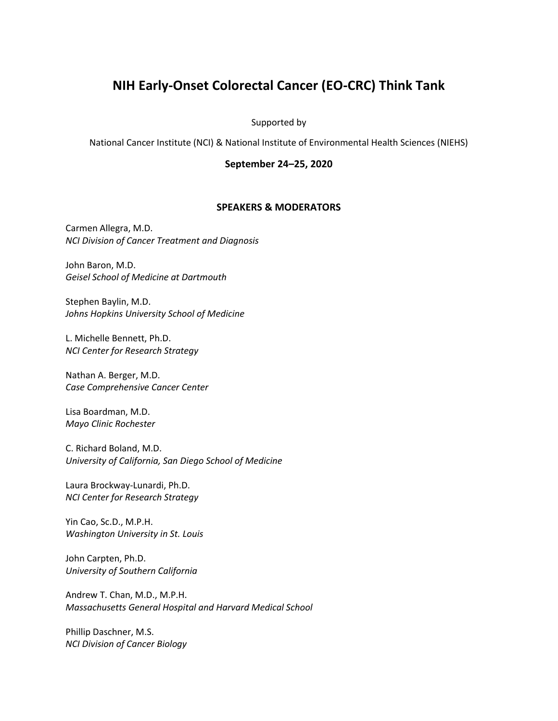## **NIH Early-Onset Colorectal Cancer (EO-CRC) Think Tank**

## Supported by

National Cancer Institute (NCI) & National Institute of Environmental Health Sciences (NIEHS)

## **September 24–25, 2020**

## **SPEAKERS & MODERATORS**

Carmen Allegra, M.D. *NCI Division of Cancer Treatment and Diagnosis*

John Baron, M.D. *Geisel School of Medicine at Dartmouth*

Stephen Baylin, M.D. *Johns Hopkins University School of Medicine*

L. Michelle Bennett, Ph.D. *NCI Center for Research Strategy*

Nathan A. Berger, M.D. *Case Comprehensive Cancer Center*

Lisa Boardman, M.D. *Mayo Clinic Rochester*

C. Richard Boland, M.D. *University of California, San Diego School of Medicine*

Laura Brockway-Lunardi, Ph.D. *NCI Center for Research Strategy*

Yin Cao, Sc.D., M.P.H. *Washington University in St. Louis*

John Carpten, Ph.D. *University of Southern California*

Andrew T. Chan, M.D., M.P.H. *Massachusetts General Hospital and Harvard Medical School*

Phillip Daschner, M.S. *NCI Division of Cancer Biology*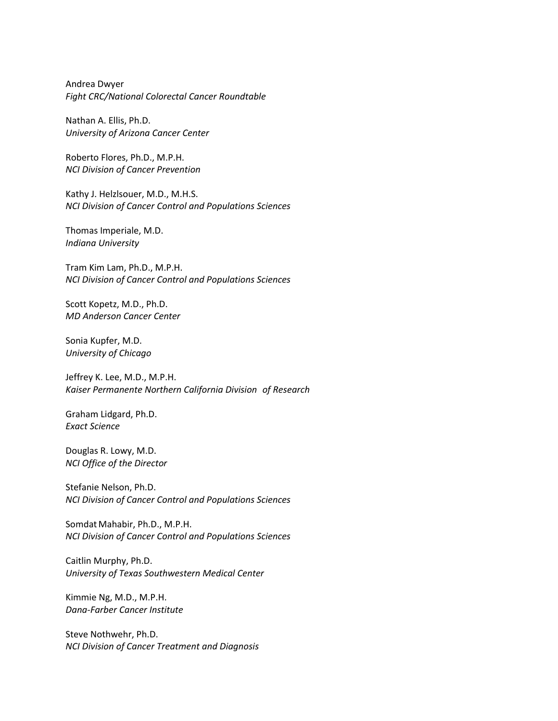Andrea Dwyer *Fight CRC/National Colorectal Cancer Roundtable*

Nathan A. Ellis, Ph.D. *University of Arizona Cancer Center*

Roberto Flores, Ph.D., M.P.H. *NCI Division of Cancer Prevention*

Kathy J. Helzlsouer, M.D., M.H.S. *NCI Division of Cancer Control and Populations Sciences*

Thomas Imperiale, M.D. *Indiana University*

Tram Kim Lam, Ph.D., M.P.H. *NCI Division of Cancer Control and Populations Sciences*

Scott Kopetz, M.D., Ph.D. *MD Anderson Cancer Center*

Sonia Kupfer, M.D. *University of Chicago*

Jeffrey K. Lee, M.D., M.P.H. *Kaiser Permanente Northern California Division of Research*

Graham Lidgard, Ph.D. *Exact Science*

Douglas R. Lowy, M.D. *NCI Office of the Director*

Stefanie Nelson, Ph.D. *NCI Division of Cancer Control and Populations Sciences*

Somdat Mahabir, Ph.D., M.P.H. *NCI Division of Cancer Control and Populations Sciences*

Caitlin Murphy, Ph.D. *University of Texas Southwestern Medical Center*

Kimmie Ng, M.D., M.P.H. *Dana-Farber Cancer Institute*

Steve Nothwehr, Ph.D. *NCI Division of Cancer Treatment and Diagnosis*